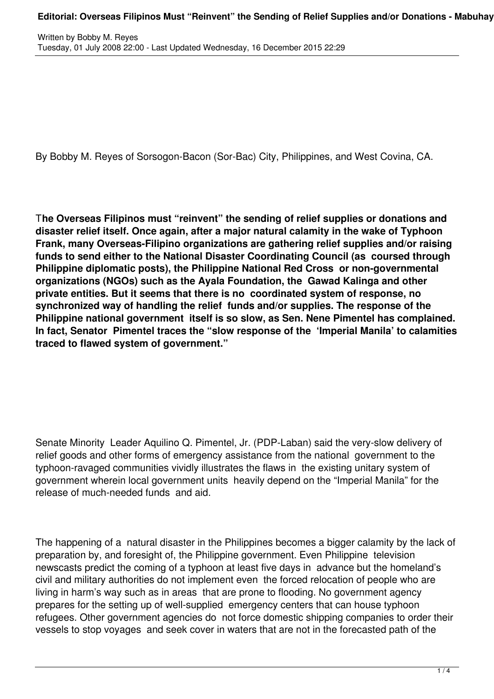By Bobby M. Reyes of Sorsogon-Bacon (Sor-Bac) City, Philippines, and West Covina, CA.

T**he Overseas Filipinos must "reinvent" the sending of relief supplies or donations and disaster relief itself. Once again, after a major natural calamity in the wake of Typhoon Frank, many Overseas-Filipino organizations are gathering relief supplies and/or raising funds to send either to the National Disaster Coordinating Council (as coursed through Philippine diplomatic posts), the Philippine National Red Cross or non-governmental organizations (NGOs) such as the Ayala Foundation, the Gawad Kalinga and other private entities. But it seems that there is no coordinated system of response, no synchronized way of handling the relief funds and/or supplies. The response of the Philippine national government itself is so slow, as Sen. Nene Pimentel has complained. In fact, Senator Pimentel traces the "slow response of the 'Imperial Manila' to calamities traced to flawed system of government."**

Senate Minority Leader Aquilino Q. Pimentel, Jr. (PDP-Laban) said the very-slow delivery of relief goods and other forms of emergency assistance from the national government to the typhoon-ravaged communities vividly illustrates the flaws in the existing unitary system of government wherein local government units heavily depend on the "Imperial Manila" for the release of much-needed funds and aid.

The happening of a natural disaster in the Philippines becomes a bigger calamity by the lack of preparation by, and foresight of, the Philippine government. Even Philippine television newscasts predict the coming of a typhoon at least five days in advance but the homeland's civil and military authorities do not implement even the forced relocation of people who are living in harm's way such as in areas that are prone to flooding. No government agency prepares for the setting up of well-supplied emergency centers that can house typhoon refugees. Other government agencies do not force domestic shipping companies to order their vessels to stop voyages and seek cover in waters that are not in the forecasted path of the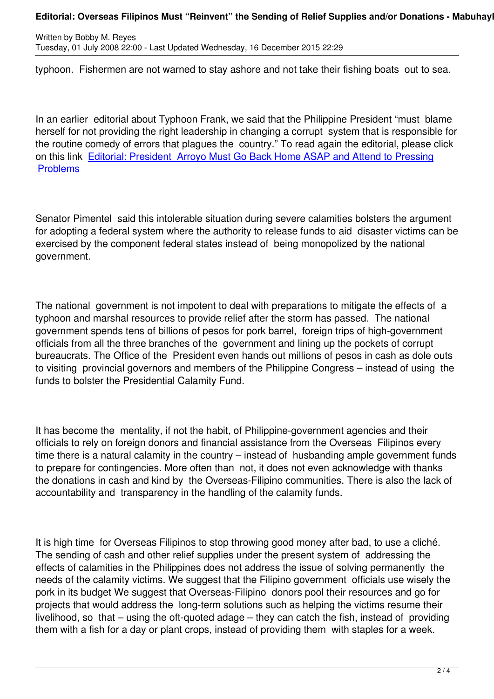typhoon. Fishermen are not warned to stay ashore and not take their fishing boats out to sea.

In an earlier editorial about Typhoon Frank, we said that the Philippine President "must blame herself for not providing the right leadership in changing a corrupt system that is responsible for the routine comedy of errors that plagues the country." To read again the editorial, please click on this link Editorial: President Arroyo Must Go Back Home ASAP and Attend to Pressing Problems

[Senator P](content/view/2985/90)imentel said this intolerable situation during severe calamities bolsters the argument for adopting a federal system where the authority to release funds to aid disaster victims can be exercised by the component federal states instead of being monopolized by the national government.

The national government is not impotent to deal with preparations to mitigate the effects of a typhoon and marshal resources to provide relief after the storm has passed. The national government spends tens of billions of pesos for pork barrel, foreign trips of high-government officials from all the three branches of the government and lining up the pockets of corrupt bureaucrats. The Office of the President even hands out millions of pesos in cash as dole outs to visiting provincial governors and members of the Philippine Congress – instead of using the funds to bolster the Presidential Calamity Fund.

It has become the mentality, if not the habit, of Philippine-government agencies and their officials to rely on foreign donors and financial assistance from the Overseas Filipinos every time there is a natural calamity in the country – instead of husbanding ample government funds to prepare for contingencies. More often than not, it does not even acknowledge with thanks the donations in cash and kind by the Overseas-Filipino communities. There is also the lack of accountability and transparency in the handling of the calamity funds.

It is high time for Overseas Filipinos to stop throwing good money after bad, to use a cliché. The sending of cash and other relief supplies under the present system of addressing the effects of calamities in the Philippines does not address the issue of solving permanently the needs of the calamity victims. We suggest that the Filipino government officials use wisely the pork in its budget We suggest that Overseas-Filipino donors pool their resources and go for projects that would address the long-term solutions such as helping the victims resume their livelihood, so that – using the oft-quoted adage – they can catch the fish, instead of providing them with a fish for a day or plant crops, instead of providing them with staples for a week.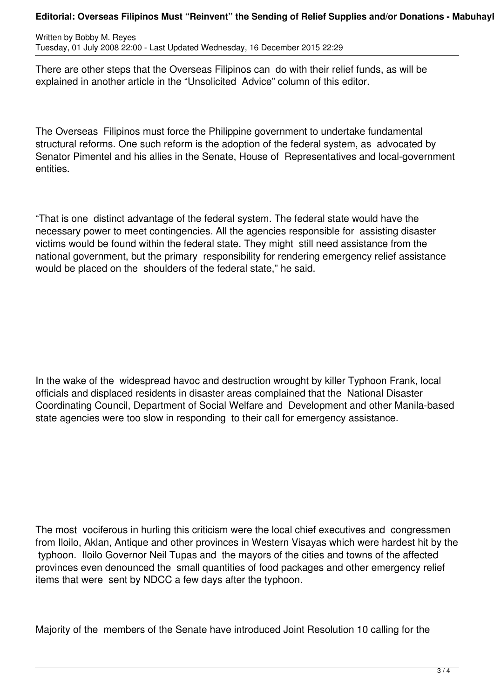Written by Bobby M. Reyes Tuesday, 01 July 2008 22:00 - Last Updated Wednesday, 16 December 2015 22:29

There are other steps that the Overseas Filipinos can do with their relief funds, as will be explained in another article in the "Unsolicited Advice" column of this editor.

The Overseas Filipinos must force the Philippine government to undertake fundamental structural reforms. One such reform is the adoption of the federal system, as advocated by Senator Pimentel and his allies in the Senate, House of Representatives and local-government entities.

"That is one distinct advantage of the federal system. The federal state would have the necessary power to meet contingencies. All the agencies responsible for assisting disaster victims would be found within the federal state. They might still need assistance from the national government, but the primary responsibility for rendering emergency relief assistance would be placed on the shoulders of the federal state," he said.

In the wake of the widespread havoc and destruction wrought by killer Typhoon Frank, local officials and displaced residents in disaster areas complained that the National Disaster Coordinating Council, Department of Social Welfare and Development and other Manila-based state agencies were too slow in responding to their call for emergency assistance.

The most vociferous in hurling this criticism were the local chief executives and congressmen from Iloilo, Aklan, Antique and other provinces in Western Visayas which were hardest hit by the typhoon. Iloilo Governor Neil Tupas and the mayors of the cities and towns of the affected provinces even denounced the small quantities of food packages and other emergency relief items that were sent by NDCC a few days after the typhoon.

Majority of the members of the Senate have introduced Joint Resolution 10 calling for the